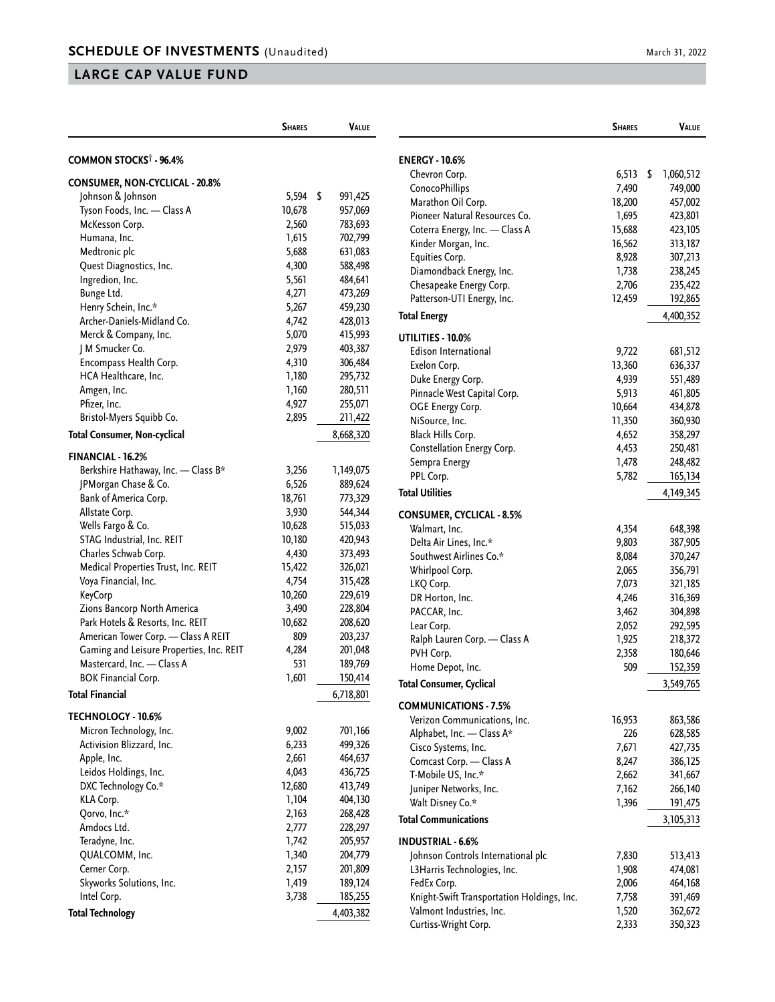## **LARGE CAP VALUE FUND**

|                                          | <b>SHARES</b> | <b>VALUE</b>  |
|------------------------------------------|---------------|---------------|
|                                          |               |               |
| COMMON STOCKS <sup>†</sup> - 96.4%       |               |               |
| <b>CONSUMER, NON-CYCLICAL - 20.8%</b>    |               |               |
| Johnson & Johnson                        | 5,594         | \$<br>991,425 |
| Tyson Foods, Inc. - Class A              | 10,678        | 957,069       |
| McKesson Corp.                           | 2,560         | 783,693       |
| Humana, Inc.                             | 1,615         | 702,799       |
| Medtronic plc                            | 5,688         | 631,083       |
| Quest Diagnostics, Inc.                  | 4,300         | 588,498       |
| Ingredion, Inc.                          | 5,561         | 484,641       |
| Bunge Ltd.                               | 4,271         | 473,269       |
| Henry Schein, Inc.*                      | 5,267         | 459,230       |
| Archer-Daniels-Midland Co.               | 4,742         | 428,013       |
| Merck & Company, Inc.                    | 5,070         | 415,993       |
| J M Smucker Co.                          | 2,979         | 403,387       |
| Encompass Health Corp.                   | 4,310         | 306,484       |
| HCA Healthcare, Inc.                     | 1,180         | 295,732       |
| Amgen, Inc.                              | 1,160         | 280,511       |
| Pfizer, Inc.                             | 4,927         | 255,071       |
| Bristol-Myers Squibb Co.                 | 2,895         | 211,422       |
| <b>Total Consumer, Non-cyclical</b>      |               | 8,668,320     |
| FINANCIAL - 16.2%                        |               |               |
| Berkshire Hathaway, Inc. - Class B*      | 3,256         | 1,149,075     |
| JPMorgan Chase & Co.                     | 6,526         | 889,624       |
| Bank of America Corp.                    | 18,761        | 773,329       |
| Allstate Corp.                           | 3,930         | 544,344       |
| Wells Fargo & Co.                        | 10,628        | 515,033       |
| STAG Industrial, Inc. REIT               | 10,180        | 420,943       |
| Charles Schwab Corp.                     | 4,430         | 373,493       |
| Medical Properties Trust, Inc. REIT      | 15,422        | 326,021       |
| Voya Financial, Inc.                     | 4,754         | 315,428       |
| KeyCorp                                  | 10,260        | 229,619       |
| Zions Bancorp North America              | 3,490         | 228,804       |
| Park Hotels & Resorts, Inc. REIT         | 10,682        | 208,620       |
| American Tower Corp. - Class A REIT      | 809           | 203,237       |
| Gaming and Leisure Properties, Inc. REIT | 4,284         | 201,048       |
| Mastercard, Inc. - Class A               | 531           | 189,769       |
| <b>BOK Financial Corp.</b>               | 1,601         | 150,414       |
| Total Financial                          |               | 6,718,801     |
| TECHNOLOGY - 10.6%                       |               |               |
| Micron Technology, Inc.                  | 9,002         | 701,166       |
| Activision Blizzard, Inc.                | 6,233         | 499,326       |
| Apple, Inc.                              | 2,661         | 464,637       |
| Leidos Holdings, Inc.                    | 4,043         | 436,725       |
| DXC Technology Co.*                      | 12,680        | 413,749       |
| KLA Corp.                                | 1,104         | 404,130       |
| Qorvo, Inc.*                             | 2,163         | 268,428       |
| Amdocs Ltd.                              | 2,777         | 228,297       |
| Teradyne, Inc.                           | 1,742         | 205,957       |
| QUALCOMM, Inc.                           | 1,340         | 204,779       |
| Cerner Corp.                             | 2,157         | 201,809       |
| Skyworks Solutions, Inc.                 | 1,419         | 189,124       |
| Intel Corp.                              | 3,738         | 185,255       |
| <b>Total Technology</b>                  |               | 4,403,382     |

|                                            | <b>SHARES</b> | Value              |  |
|--------------------------------------------|---------------|--------------------|--|
|                                            |               |                    |  |
| <b>ENERGY - 10.6%</b><br>Chevron Corp.     | 6,513         | \$<br>1,060,512    |  |
| <b>ConocoPhillips</b>                      | 7,490         | 749,000            |  |
| Marathon Oil Corp.                         | 18,200        | 457,002            |  |
| Pioneer Natural Resources Co.              | 1,695         | 423,801            |  |
| Coterra Energy, Inc. - Class A             | 15,688        | 423,105            |  |
| Kinder Morgan, Inc.                        | 16,562        | 313,187            |  |
| Equities Corp.                             | 8,928         | 307,213            |  |
| Diamondback Energy, Inc.                   | 1,738         | 238,245            |  |
| Chesapeake Energy Corp.                    | 2,706         | 235,422            |  |
| Patterson-UTI Energy, Inc.                 | 12,459        | 192,865            |  |
| Total Energy                               |               | 4,400,352          |  |
|                                            |               |                    |  |
| UTILITIES - 10.0%                          |               |                    |  |
| Edison International                       | 9,722         | 681,512            |  |
| Exelon Corp.                               | 13,360        | 636,337            |  |
| Duke Energy Corp.                          | 4,939         | 551,489            |  |
| Pinnacle West Capital Corp.                | 5,913         | 461,805            |  |
| OGE Energy Corp.                           | 10,664        | 434,878            |  |
| NiSource, Inc.                             | 11,350        | 360,930            |  |
| Black Hills Corp.                          | 4,652         | 358,297            |  |
| Constellation Energy Corp.                 | 4,453         | 250,481            |  |
| Sempra Energy                              | 1,478         | 248,482            |  |
| PPL Corp.                                  | 5,782         | 165,134            |  |
| <b>Total Utilities</b>                     |               | 4,149,345          |  |
| <b>CONSUMER, CYCLICAL - 8.5%</b>           |               |                    |  |
| Walmart, Inc.                              | 4,354         | 648,398            |  |
| Delta Air Lines, Inc.*                     | 9,803         | 387,905            |  |
| Southwest Airlines Co.*                    | 8,084         | 370,247            |  |
| Whirlpool Corp.                            | 2,065         | 356,791            |  |
| LKQ Corp.                                  | 7,073         | 321,185            |  |
| DR Horton, Inc.                            | 4,246         | 316,369            |  |
| PACCAR, Inc.                               | 3,462         | 304,898            |  |
| Lear Corp.                                 | 2,052         | 292,595            |  |
| Ralph Lauren Corp. - Class A               | 1,925         | 218,372            |  |
| PVH Corp.                                  | 2,358         |                    |  |
|                                            | 509           | 180,646<br>152,359 |  |
| Home Depot, Inc.                           |               |                    |  |
| Total Consumer, Cyclical                   |               | 3,549,765          |  |
| <b>COMMUNICATIONS - 7.5%</b>               |               |                    |  |
| Verizon Communications, Inc.               | 16,953        | 863,586            |  |
| Alphabet, Inc. - Class A*                  | 226           | 628,585            |  |
| Cisco Systems, Inc.                        | 7,671         | 427,735            |  |
| Comcast Corp. - Class A                    | 8,247         | 386,125            |  |
| T-Mobile US, Inc.*                         | 2,662         | 341,667            |  |
| Juniper Networks, Inc.                     | 7,162         | 266,140            |  |
| Walt Disney Co.*                           | 1,396         | 191,475            |  |
| <b>Total Communications</b>                |               | 3,105,313          |  |
| <b>INDUSTRIAL - 6.6%</b>                   |               |                    |  |
| Johnson Controls International plc         | 7,830         | 513,413            |  |
| L3Harris Technologies, Inc.                | 1,908         | 474,081            |  |
| FedEx Corp.                                | 2,006         | 464,168            |  |
| Knight-Swift Transportation Holdings, Inc. | 7,758         | 391,469            |  |
| Valmont Industries, Inc.                   | 1,520         | 362,672            |  |
| Curtiss-Wright Corp.                       | 2,333         | 350,323            |  |